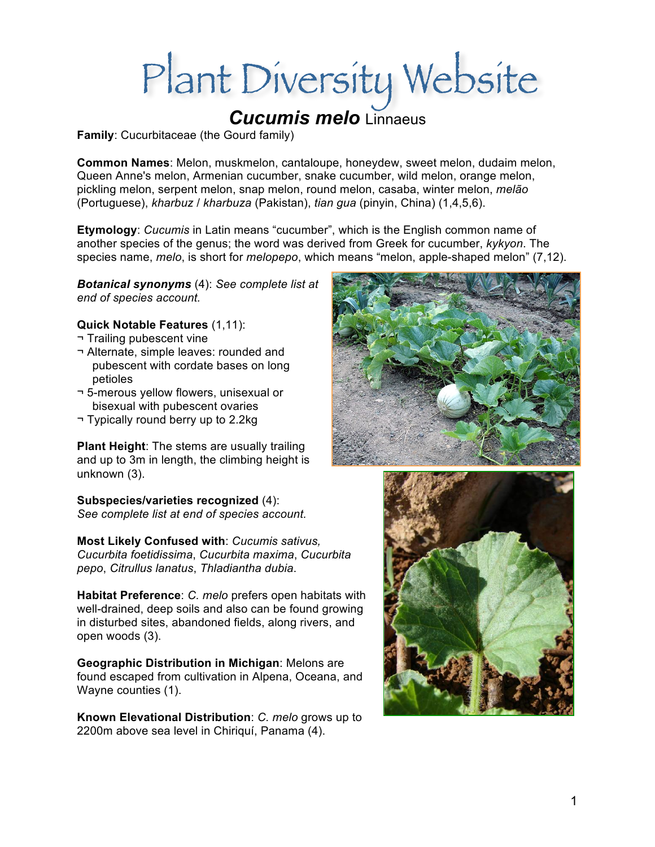# Plant Diversity Website

# *Cucumis melo* Linnaeus

**Family**: Cucurbitaceae (the Gourd family)

**Common Names**: Melon, muskmelon, cantaloupe, honeydew, sweet melon, dudaim melon, Queen Anne's melon, Armenian cucumber, snake cucumber, wild melon, orange melon, pickling melon, serpent melon, snap melon, round melon, casaba, winter melon, *melão* (Portuguese), *kharbuz* / *kharbuza* (Pakistan), *tian gua* (pinyin, China) (1,4,5,6).

**Etymology**: *Cucumis* in Latin means "cucumber", which is the English common name of another species of the genus; the word was derived from Greek for cucumber, *kykyon*. The species name, *melo*, is short for *melopepo*, which means "melon, apple-shaped melon" (7,12).

*Botanical synonyms* (4): *See complete list at end of species account.*

#### **Quick Notable Features** (1,11):

- ¬ Trailing pubescent vine
- ¬ Alternate, simple leaves: rounded and pubescent with cordate bases on long petioles
- ¬ 5-merous yellow flowers, unisexual or bisexual with pubescent ovaries
- ¬ Typically round berry up to 2.2kg

**Plant Height**: The stems are usually trailing and up to 3m in length, the climbing height is unknown (3).

**Subspecies/varieties recognized** (4): *See complete list at end of species account.*

**Most Likely Confused with**: *Cucumis sativus, Cucurbita foetidissima*, *Cucurbita maxima*, *Cucurbita pepo*, *Citrullus lanatus*, *Thladiantha dubia*.

**Habitat Preference**: *C. melo* prefers open habitats with well-drained, deep soils and also can be found growing in disturbed sites, abandoned fields, along rivers, and open woods (3).

**Geographic Distribution in Michigan**: Melons are found escaped from cultivation in Alpena, Oceana, and Wayne counties (1).

**Known Elevational Distribution**: *C. melo* grows up to 2200m above sea level in Chiriquí, Panama (4).



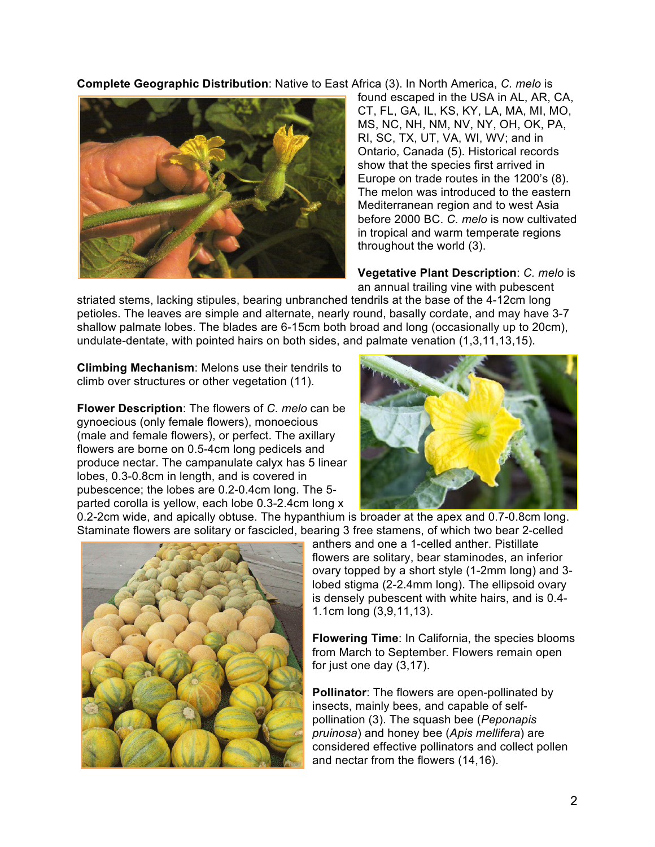**Complete Geographic Distribution**: Native to East Africa (3). In North America, *C. melo* is



found escaped in the USA in AL, AR, CA, CT, FL, GA, IL, KS, KY, LA, MA, MI, MO, MS, NC, NH, NM, NV, NY, OH, OK, PA, RI, SC, TX, UT, VA, WI, WV; and in Ontario, Canada (5). Historical records show that the species first arrived in Europe on trade routes in the 1200's (8). The melon was introduced to the eastern Mediterranean region and to west Asia before 2000 BC. *C. melo* is now cultivated in tropical and warm temperate regions throughout the world (3).

**Vegetative Plant Description**: *C. melo* is an annual trailing vine with pubescent

striated stems, lacking stipules, bearing unbranched tendrils at the base of the 4-12cm long petioles. The leaves are simple and alternate, nearly round, basally cordate, and may have 3-7 shallow palmate lobes. The blades are 6-15cm both broad and long (occasionally up to 20cm), undulate-dentate, with pointed hairs on both sides, and palmate venation (1,3,11,13,15).

**Climbing Mechanism**: Melons use their tendrils to climb over structures or other vegetation (11).

**Flower Description**: The flowers of *C. melo* can be gynoecious (only female flowers), monoecious (male and female flowers), or perfect. The axillary flowers are borne on 0.5-4cm long pedicels and produce nectar. The campanulate calyx has 5 linear lobes, 0.3-0.8cm in length, and is covered in pubescence; the lobes are 0.2-0.4cm long. The 5 parted corolla is yellow, each lobe 0.3-2.4cm long x



0.2-2cm wide, and apically obtuse. The hypanthium is broader at the apex and 0.7-0.8cm long. Staminate flowers are solitary or fascicled, bearing 3 free stamens, of which two bear 2-celled



anthers and one a 1-celled anther. Pistillate flowers are solitary, bear staminodes, an inferior ovary topped by a short style (1-2mm long) and 3 lobed stigma (2-2.4mm long). The ellipsoid ovary is densely pubescent with white hairs, and is 0.4- 1.1cm long (3,9,11,13).

**Flowering Time**: In California, the species blooms from March to September. Flowers remain open for just one day (3,17).

**Pollinator**: The flowers are open-pollinated by insects, mainly bees, and capable of selfpollination (3). The squash bee (*Peponapis pruinosa*) and honey bee (*Apis mellifera*) are considered effective pollinators and collect pollen and nectar from the flowers (14,16).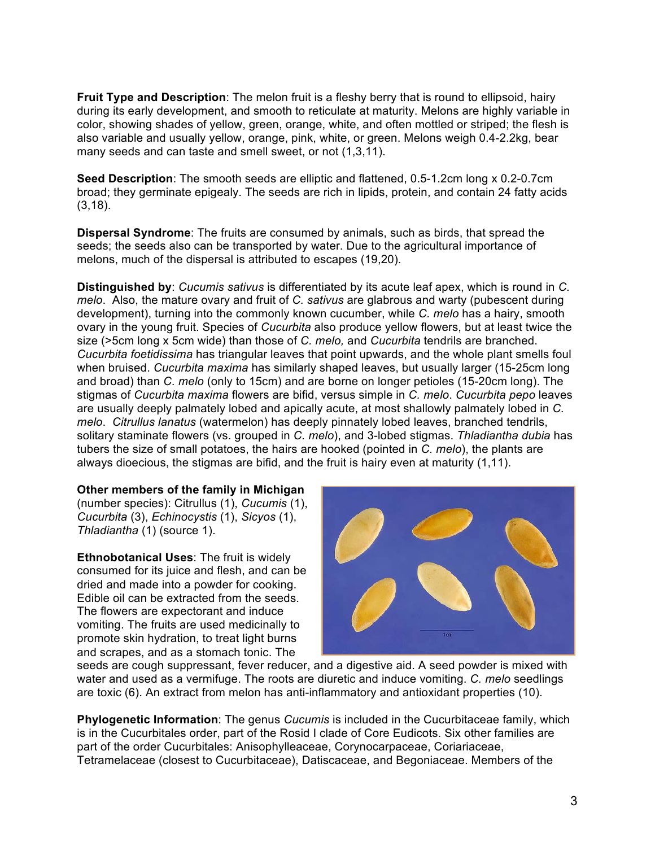**Fruit Type and Description**: The melon fruit is a fleshy berry that is round to ellipsoid, hairy during its early development, and smooth to reticulate at maturity. Melons are highly variable in color, showing shades of yellow, green, orange, white, and often mottled or striped; the flesh is also variable and usually yellow, orange, pink, white, or green. Melons weigh 0.4-2.2kg, bear many seeds and can taste and smell sweet, or not (1,3,11).

**Seed Description**: The smooth seeds are elliptic and flattened, 0.5-1.2cm long x 0.2-0.7cm broad; they germinate epigealy. The seeds are rich in lipids, protein, and contain 24 fatty acids (3,18).

**Dispersal Syndrome**: The fruits are consumed by animals, such as birds, that spread the seeds; the seeds also can be transported by water. Due to the agricultural importance of melons, much of the dispersal is attributed to escapes (19,20).

**Distinguished by**: *Cucumis sativus* is differentiated by its acute leaf apex, which is round in *C. melo*. Also, the mature ovary and fruit of *C. sativus* are glabrous and warty (pubescent during development), turning into the commonly known cucumber, while *C. melo* has a hairy, smooth ovary in the young fruit. Species of *Cucurbita* also produce yellow flowers, but at least twice the size (>5cm long x 5cm wide) than those of *C. melo,* and *Cucurbita* tendrils are branched. *Cucurbita foetidissima* has triangular leaves that point upwards, and the whole plant smells foul when bruised. *Cucurbita maxima* has similarly shaped leaves, but usually larger (15-25cm long and broad) than *C. melo* (only to 15cm) and are borne on longer petioles (15-20cm long). The stigmas of *Cucurbita maxima* flowers are bifid, versus simple in *C. melo*. *Cucurbita pepo* leaves are usually deeply palmately lobed and apically acute, at most shallowly palmately lobed in *C. melo*. *Citrullus lanatus* (watermelon) has deeply pinnately lobed leaves, branched tendrils, solitary staminate flowers (vs. grouped in *C. melo*), and 3-lobed stigmas. *Thladiantha dubia* has tubers the size of small potatoes, the hairs are hooked (pointed in *C. melo*), the plants are always dioecious, the stigmas are bifid, and the fruit is hairy even at maturity (1,11).

#### **Other members of the family in Michigan**

(number species): Citrullus (1), *Cucumis* (1), *Cucurbita* (3), *Echinocystis* (1), *Sicyos* (1), *Thladiantha* (1) (source 1).

**Ethnobotanical Uses**: The fruit is widely consumed for its juice and flesh, and can be dried and made into a powder for cooking. Edible oil can be extracted from the seeds. The flowers are expectorant and induce vomiting. The fruits are used medicinally to promote skin hydration, to treat light burns and scrapes, and as a stomach tonic. The



seeds are cough suppressant, fever reducer, and a digestive aid. A seed powder is mixed with water and used as a vermifuge. The roots are diuretic and induce vomiting. *C. melo* seedlings are toxic (6). An extract from melon has anti-inflammatory and antioxidant properties (10).

**Phylogenetic Information**: The genus *Cucumis* is included in the Cucurbitaceae family, which is in the Cucurbitales order, part of the Rosid I clade of Core Eudicots. Six other families are part of the order Cucurbitales: Anisophylleaceae, Corynocarpaceae, Coriariaceae, Tetramelaceae (closest to Cucurbitaceae), Datiscaceae, and Begoniaceae. Members of the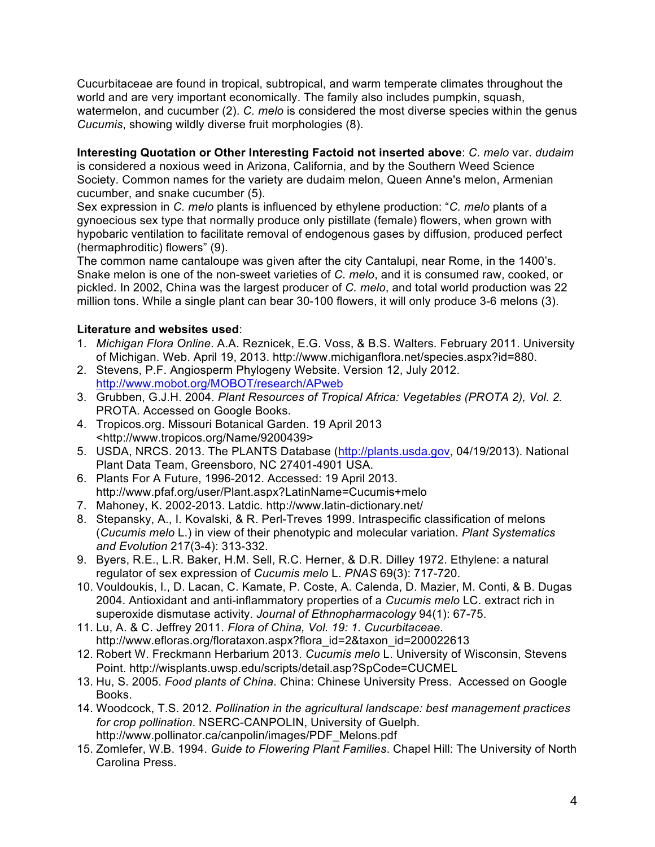Cucurbitaceae are found in tropical, subtropical, and warm temperate climates throughout the world and are very important economically. The family also includes pumpkin, squash, watermelon, and cucumber (2). *C. melo* is considered the most diverse species within the genus *Cucumis*, showing wildly diverse fruit morphologies (8).

**Interesting Quotation or Other Interesting Factoid not inserted above**: *C. melo* var. *dudaim* is considered a noxious weed in Arizona, California, and by the Southern Weed Science Society. Common names for the variety are dudaim melon, Queen Anne's melon, Armenian cucumber, and snake cucumber (5).

Sex expression in *C. melo* plants is influenced by ethylene production: "*C. melo* plants of a gynoecious sex type that normally produce only pistillate (female) flowers, when grown with hypobaric ventilation to facilitate removal of endogenous gases by diffusion, produced perfect (hermaphroditic) flowers" (9).

The common name cantaloupe was given after the city Cantalupi, near Rome, in the 1400's. Snake melon is one of the non-sweet varieties of *C. melo*, and it is consumed raw, cooked, or pickled. In 2002, China was the largest producer of *C. melo*, and total world production was 22 million tons. While a single plant can bear 30-100 flowers, it will only produce 3-6 melons (3).

## **Literature and websites used**:

- 1. *Michigan Flora Online*. A.A. Reznicek, E.G. Voss, & B.S. Walters. February 2011. University of Michigan. Web. April 19, 2013. http://www.michiganflora.net/species.aspx?id=880.
- 2. Stevens, P.F. Angiosperm Phylogeny Website. Version 12, July 2012. http://www.mobot.org/MOBOT/research/APweb
- 3. Grubben, G.J.H. 2004. *Plant Resources of Tropical Africa: Vegetables (PROTA 2), Vol. 2.* PROTA. Accessed on Google Books.
- 4. Tropicos.org. Missouri Botanical Garden. 19 April 2013 <http://www.tropicos.org/Name/9200439>
- 5. USDA, NRCS. 2013. The PLANTS Database (http://plants.usda.gov, 04/19/2013). National Plant Data Team, Greensboro, NC 27401-4901 USA.
- 6. Plants For A Future, 1996-2012. Accessed: 19 April 2013. http://www.pfaf.org/user/Plant.aspx?LatinName=Cucumis+melo
- 7. Mahoney, K. 2002-2013. Latdic. http://www.latin-dictionary.net/
- 8. Stepansky, A., I. Kovalski, & R. Perl-Treves 1999. Intraspecific classification of melons (*Cucumis melo* L.) in view of their phenotypic and molecular variation. *Plant Systematics and Evolution* 217(3-4): 313-332.
- 9. Byers, R.E., L.R. Baker, H.M. Sell, R.C. Herner, & D.R. Dilley 1972. Ethylene: a natural regulator of sex expression of *Cucumis melo* L. *PNAS* 69(3): 717-720.
- 10. Vouldoukis, I., D. Lacan, C. Kamate, P. Coste, A. Calenda, D. Mazier, M. Conti, & B. Dugas 2004. Antioxidant and anti-inflammatory properties of a *Cucumis melo* LC. extract rich in superoxide dismutase activity. *Journal of Ethnopharmacology* 94(1): 67-75.
- 11. Lu, A. & C. Jeffrey 2011. *Flora of China, Vol. 19: 1. Cucurbitaceae.*  http://www.efloras.org/florataxon.aspx?flora\_id=2&taxon\_id=200022613
- 12. Robert W. Freckmann Herbarium 2013. *Cucumis melo* L. University of Wisconsin, Stevens Point. http://wisplants.uwsp.edu/scripts/detail.asp?SpCode=CUCMEL
- 13. Hu, S. 2005. *Food plants of China*. China: Chinese University Press. Accessed on Google Books.
- 14. Woodcock, T.S. 2012. *Pollination in the agricultural landscape: best management practices for crop pollination*. NSERC-CANPOLIN, University of Guelph. http://www.pollinator.ca/canpolin/images/PDF\_Melons.pdf
- 15. Zomlefer, W.B. 1994. *Guide to Flowering Plant Families*. Chapel Hill: The University of North Carolina Press.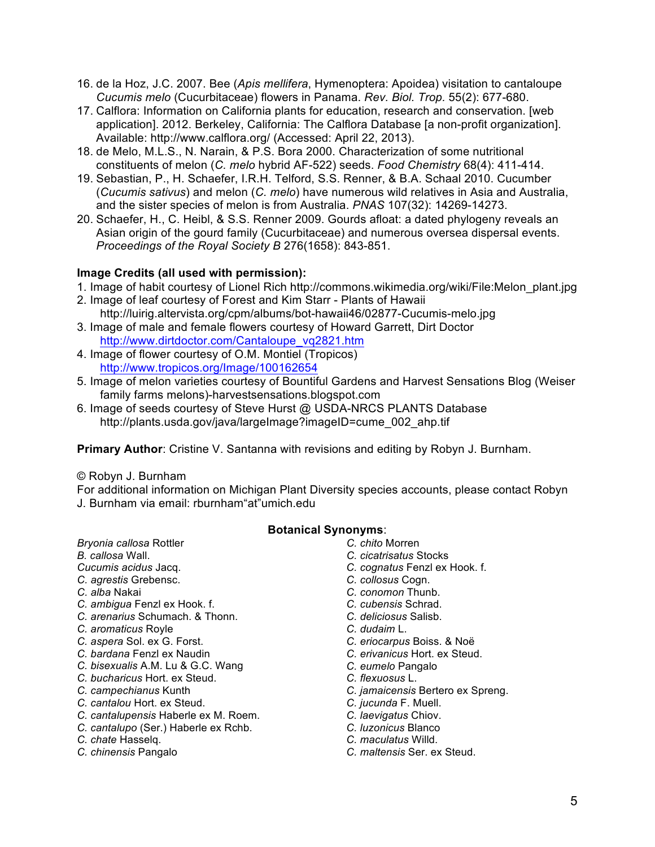- 16. de la Hoz, J.C. 2007. Bee (*Apis mellifera*, Hymenoptera: Apoidea) visitation to cantaloupe *Cucumis melo* (Cucurbitaceae) flowers in Panama. *Rev. Biol. Trop.* 55(2): 677-680.
- 17. Calflora: Information on California plants for education, research and conservation. [web application]. 2012. Berkeley, California: The Calflora Database [a non-profit organization]. Available: http://www.calflora.org/ (Accessed: April 22, 2013).
- 18. de Melo, M.L.S., N. Narain, & P.S. Bora 2000. Characterization of some nutritional constituents of melon (*C. melo* hybrid AF-522) seeds. *Food Chemistry* 68(4): 411-414.
- 19. Sebastian, P., H. Schaefer, I.R.H. Telford, S.S. Renner, & B.A. Schaal 2010. Cucumber (*Cucumis sativus*) and melon (*C. melo*) have numerous wild relatives in Asia and Australia, and the sister species of melon is from Australia. *PNAS* 107(32): 14269-14273.
- 20. Schaefer, H., C. Heibl, & S.S. Renner 2009. Gourds afloat: a dated phylogeny reveals an Asian origin of the gourd family (Cucurbitaceae) and numerous oversea dispersal events. *Proceedings of the Royal Society B* 276(1658): 843-851.

### **Image Credits (all used with permission):**

- 1. Image of habit courtesy of Lionel Rich http://commons.wikimedia.org/wiki/File:Melon\_plant.jpg
- 2. Image of leaf courtesy of Forest and Kim Starr Plants of Hawaii http://luirig.altervista.org/cpm/albums/bot-hawaii46/02877-Cucumis-melo.jpg
- 3. Image of male and female flowers courtesy of Howard Garrett, Dirt Doctor http://www.dirtdoctor.com/Cantaloupe\_vq2821.htm
- 4. Image of flower courtesy of O.M. Montiel (Tropicos) http://www.tropicos.org/Image/100162654
- 5. Image of melon varieties courtesy of Bountiful Gardens and Harvest Sensations Blog (Weiser family farms melons)-harvestsensations.blogspot.com
- 6. Image of seeds courtesy of Steve Hurst @ USDA-NRCS PLANTS Database http://plants.usda.gov/java/largeImage?imageID=cume\_002\_ahp.tif

**Primary Author**: Cristine V. Santanna with revisions and editing by Robyn J. Burnham.

#### © Robyn J. Burnham

For additional information on Michigan Plant Diversity species accounts, please contact Robyn J. Burnham via email: rburnham"at"umich.edu

#### **Botanical Synonyms**:

- *Bryonia callosa* Rottler
- *B. callosa* Wall. *Cucumis acidus* Jacq.
- *C. agrestis* Grebensc.
- *C. alba* Nakai
- 
- *C. ambigua* Fenzl ex Hook. f. *C. arenarius* Schumach. & Thonn.
- *C. aromaticus* Royle
- *C. aspera* Sol. ex G. Forst.
- *C. bardana* Fenzl ex Naudin
- *C. bisexualis* A.M. Lu & G.C. Wang
- *C. bucharicus* Hort. ex Steud.
- *C. campechianus* Kunth
- *C. cantalou* Hort. ex Steud.
- *C. cantalupensis* Haberle ex M. Roem.
- *C. cantalupo* (Ser.) Haberle ex Rchb.
- *C. chate* Hasselq.
- *C. chinensis* Pangalo
- *C. chito* Morren
	- *C. cicatrisatus* Stocks
	- *C. cognatus* Fenzl ex Hook. f.
	- *C. collosus* Cogn.
	- *C. conomon* Thunb.
	- *C. cubensis* Schrad.
	- *C. deliciosus* Salisb.
	- *C. dudaim* L.
	- *C. eriocarpus* Boiss. & Noë
	- *C. erivanicus* Hort. ex Steud.
	- *C. eumelo* Pangalo
	- *C. flexuosus* L.
	- *C. jamaicensis* Bertero ex Spreng.
	- *C. jucunda* F. Muell.
	- *C. laevigatus* Chiov.
	- *C. luzonicus* Blanco
	- *C. maculatus* Willd.
	- *C. maltensis* Ser. ex Steud.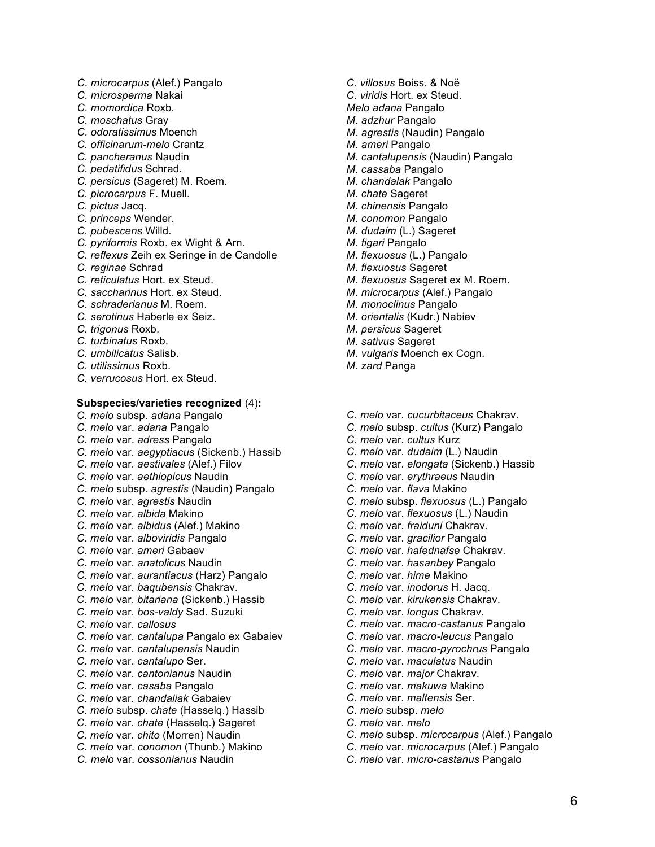- *C. microcarpus* (Alef.) Pangalo
- *C. microsperma* Nakai
- *C. momordica* Roxb.
- *C. moschatus* Gray
- *C. odoratissimus* Moench
- *C. officinarum-melo* Crantz
- *C. pancheranus* Naudin
- *C. pedatifidus* Schrad.
- *C. persicus* (Sageret) M. Roem.
- *C. picrocarpus* F. Muell.
- *C. pictus* Jacq.
- *C. princeps* Wender.
- *C. pubescens* Willd.
- *C. pyriformis* Roxb. ex Wight & Arn.
- *C. reflexus* Zeih ex Seringe in de Candolle
- *C. reginae* Schrad
- *C. reticulatus* Hort. ex Steud.
- *C. saccharinus* Hort. ex Steud.
- *C. schraderianus* M. Roem.
- *C. serotinus* Haberle ex Seiz.
- *C. trigonus* Roxb.
- *C. turbinatus* Roxb.
- *C. umbilicatus* Salisb.
- *C. utilissimus* Roxb.
- *C. verrucosus* Hort. ex Steud.

#### **Subspecies/varieties recognized** (4)**:**

- *C. melo* subsp. *adana* Pangalo
- *C. melo* var. *adana* Pangalo
- *C. melo* var. *adress* Pangalo
- *C. melo* var. *aegyptiacus* (Sickenb.) Hassib
- *C. melo* var. *aestivales* (Alef.) Filov
- *C. melo* var. *aethiopicus* Naudin
- *C. melo* subsp. *agrestis* (Naudin) Pangalo
- *C. melo* var. *agrestis* Naudin
- *C. melo* var. *albida* Makino
- *C. melo* var. *albidus* (Alef.) Makino
- *C. melo* var. *alboviridis* Pangalo
- *C. melo* var. *ameri* Gabaev
- *C. melo* var. *anatolicus* Naudin
- *C. melo* var. *aurantiacus* (Harz) Pangalo
- *C. melo* var. *baqubensis* Chakrav.
- *C. melo* var. *bitariana* (Sickenb.) Hassib
- *C. melo* var. *bos-valdy* Sad. Suzuki
- *C. melo* var. *callosus*
- *C. melo* var. *cantalupa* Pangalo ex Gabaiev
- *C. melo* var. *cantalupensis* Naudin
- *C. melo* var. *cantalupo* Ser.
- *C. melo* var. *cantonianus* Naudin
- *C. melo* var. *casaba* Pangalo
- *C. melo* var. *chandaliak* Gabaiev
- *C. melo* subsp. *chate* (Hasselq.) Hassib
- *C. melo* var. *chate* (Hasselq.) Sageret
- *C. melo* var. *chito* (Morren) Naudin
- *C. melo* var. *conomon* (Thunb.) Makino
- *C. melo* var. *cossonianus* Naudin
- *C. villosus* Boiss. & Noë
- *C. viridis* Hort. ex Steud.
- *Melo adana* Pangalo
- *M. adzhur* Pangalo
- *M. agrestis* (Naudin) Pangalo
- *M. ameri* Pangalo
- *M. cantalupensis* (Naudin) Pangalo
- *M. cassaba* Pangalo
- *M. chandalak* Pangalo
- *M. chate* Sageret
- *M. chinensis* Pangalo
- *M. conomon* Pangalo
- *M. dudaim* (L.) Sageret
- *M. figari* Pangalo
- *M. flexuosus* (L.) Pangalo
- *M. flexuosus* Sageret
- *M. flexuosus* Sageret ex M. Roem.
- *M. microcarpus* (Alef.) Pangalo
- *M. monoclinus* Pangalo
- *M. orientalis* (Kudr.) Nabiev
- *M. persicus* Sageret
- *M. sativus* Sageret
- *M. vulgaris* Moench ex Cogn.
- *M. zard* Panga
- *C. melo* var. *cucurbitaceus* Chakrav.
- *C. melo* subsp. *cultus* (Kurz) Pangalo
- *C. melo* var. *cultus* Kurz
- *C. melo* var. *dudaim* (L.) Naudin
- *C. melo* var. *elongata* (Sickenb.) Hassib
- *C. melo* var. *erythraeus* Naudin
- *C. melo* var. *flava* Makino
- *C. melo* subsp. *flexuosus* (L.) Pangalo
- *C. melo* var. *flexuosus* (L.) Naudin
- *C. melo* var. *fraiduni* Chakrav.
- *C. melo* var. *gracilior* Pangalo
- *C. melo* var. *hafednafse* Chakrav.
- *C. melo* var. *hasanbey* Pangalo
- *C. melo* var. *hime* Makino
- *C. melo* var. *inodorus* H. Jacq.
- *C. melo* var. *kirukensis* Chakrav.
- *C. melo* var. *longus* Chakrav.
- *C. melo* var. *macro-castanus* Pangalo
- *C. melo* var. *macro-leucus* Pangalo
- *C. melo* var. *macro-pyrochrus* Pangalo

*C. melo* subsp. *microcarpus* (Alef.) Pangalo *C. melo* var. *microcarpus* (Alef.) Pangalo *C. melo* var. *micro-castanus* Pangalo

6

*C. melo* var. *maculatus* Naudin *C. melo* var. *major* Chakrav.

*C. melo* var. *makuwa* Makino *C. melo* var. *maltensis* Ser. *C. melo* subsp. *melo C. melo* var. *melo*